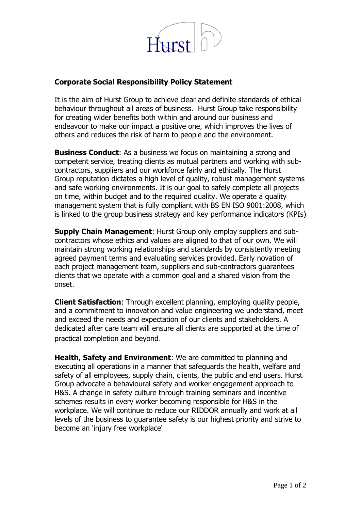

## **Corporate Social Responsibility Policy Statement**

It is the aim of Hurst Group to achieve clear and definite standards of ethical behaviour throughout all areas of business. Hurst Group take responsibility for creating wider benefits both within and around our business and endeavour to make our impact a positive one, which improves the lives of others and reduces the risk of harm to people and the environment.

**Business Conduct:** As a business we focus on maintaining a strong and competent service, treating clients as mutual partners and working with subcontractors, suppliers and our workforce fairly and ethically. The Hurst Group reputation dictates a high level of quality, robust management systems and safe working environments. It is our goal to safely complete all projects on time, within budget and to the required quality. We operate a quality management system that is fully compliant with BS EN ISO 9001:2008, which is linked to the group business strategy and key performance indicators (KPIs)

**Supply Chain Management**: Hurst Group only employ suppliers and subcontractors whose ethics and values are aligned to that of our own. We will maintain strong working relationships and standards by consistently meeting agreed payment terms and evaluating services provided. Early novation of each project management team, suppliers and sub-contractors guarantees clients that we operate with a common goal and a shared vision from the onset.

**Client Satisfaction**: Through excellent planning, employing quality people, and a commitment to innovation and value engineering we understand, meet and exceed the needs and expectation of our clients and stakeholders. A dedicated after care team will ensure all clients are supported at the time of practical completion and beyond.

**Health, Safety and Environment**: We are committed to planning and executing all operations in a manner that safeguards the health, welfare and safety of all employees, supply chain, clients, the public and end users. Hurst Group advocate a behavioural safety and worker engagement approach to H&S. A change in safety culture through training seminars and incentive schemes results in every worker becoming responsible for H&S in the workplace. We will continue to reduce our RIDDOR annually and work at all levels of the business to guarantee safety is our highest priority and strive to become an 'injury free workplace'